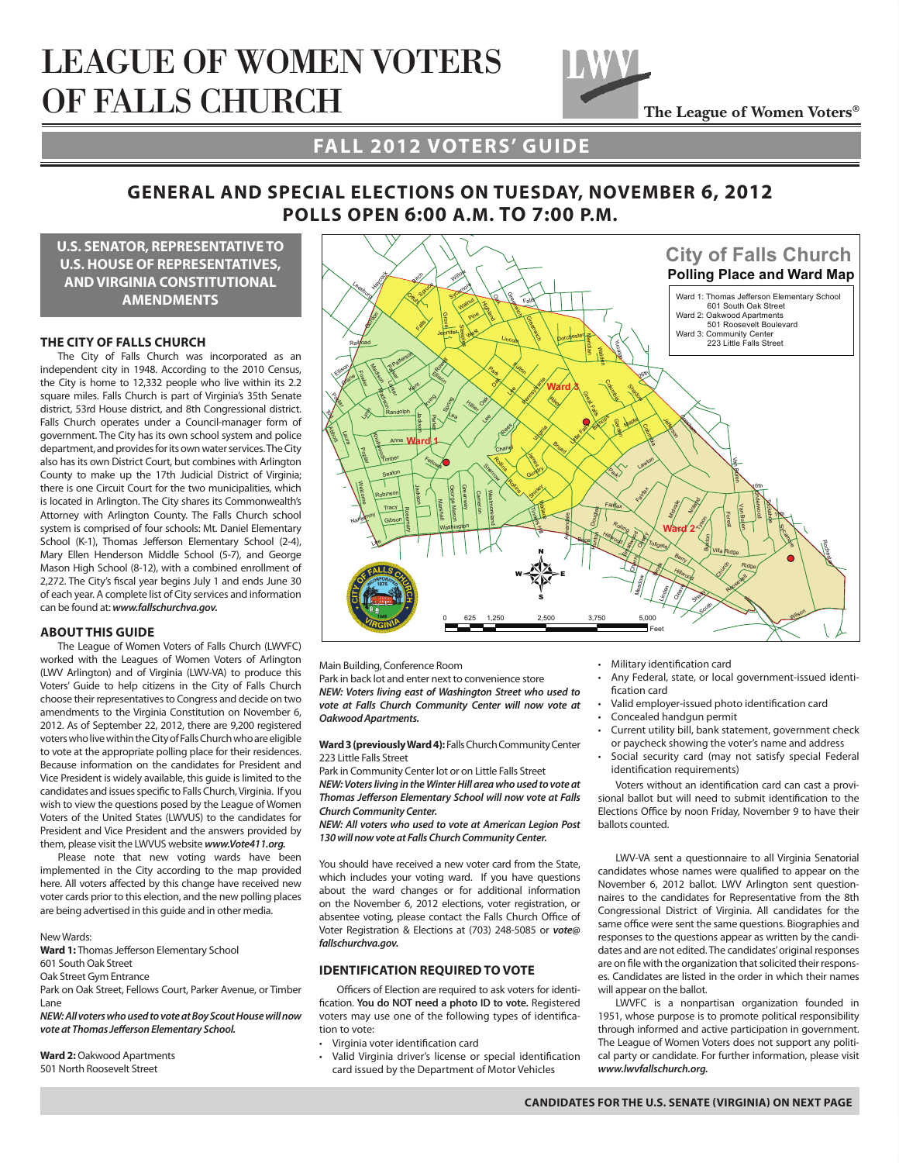# league of women voters of falls church



## **fall 2012 voters' guide**

## **general and special elections on Tuesday, november 6, 2012 polls open 6:00 a.m. to 7:00 p.m.**

**u.s. senator, representative to u.s. house of representatives, and virginia constitutional amendments**

#### **THE CITY OF FALLS CHURCH**

The City of Falls Church was incorporated as an independent city in 1948. According to the 2010 Census, the City is home to 12,332 people who live within its 2.2 square miles. Falls Church is part of Virginia's 35th Senate district, 53rd House district, and 8th Congressional district. Falls Church operates under a Council-manager form of government. The City has its own school system and police department, and provides for its own water services. The City also has its own District Court, but combines with Arlington County to make up the 17th Judicial District of Virginia; there is one Circuit Court for the two municipalities, which is located in Arlington. The City shares its Commonwealth's Attorney with Arlington County. The Falls Church school system is comprised of four schools: Mt. Daniel Elementary School (K-1), Thomas Jefferson Elementary School (2-4), Mary Ellen Henderson Middle School (5-7), and George Mason High School (8-12), with a combined enrollment of 2,272. The City's fiscal year begins July 1 and ends June 30 of each year. A complete list of City services and information can be found at: *www.fallschurchva.gov.*

#### **ABOUT THIS GUIDE**

The League of Women Voters of Falls Church (LWVFC) worked with the Leagues of Women Voters of Arlington (LWV Arlington) and of Virginia (LWV-VA) to produce this Voters' Guide to help citizens in the City of Falls Church choose their representatives to Congress and decide on two amendments to the Virginia Constitution on November 6, 2012. As of September 22, 2012, there are 9,200 registered voters who live within the City of Falls Church who are eligible to vote at the appropriate polling place for their residences. Because information on the candidates for President and Vice President is widely available, this guide is limited to the candidates and issues specific to Falls Church, Virginia. If you wish to view the questions posed by the League of Women Voters of the United States (LWVUS) to the candidates for President and Vice President and the answers provided by them, please visit the LWVUS website *www.Vote411.org.*

Please note that new voting wards have been implemented in the City according to the map provided here. All voters affected by this change have received new voter cards prior to this election, and the new polling places are being advertised in this guide and in other media.

#### New Wards:

**Ward 1:** Thomas Jefferson Elementary School

- 601 South Oak Street
- Oak Street Gym Entrance

Park on Oak Street, Fellows Court, Parker Avenue, or Timber Lane

*NEW: All voters who used to vote at Boy Scout House will now vote at Thomas Jefferson Elementary School.*

**Ward 2:** Oakwood Apartments 501 North Roosevelt Street



Main Building, Conference Room

Park in back lot and enter next to convenience store *NEW: Voters living east of Washington Street who used to vote at Falls Church Community Center will now vote at Oakwood Apartments.*

**Ward 3 (previously Ward 4):** Falls Church Community Center 223 Little Falls Street

Park in Community Center lot or on Little Falls Street

*NEW: Voters living in the Winter Hill area who used to vote at Thomas Jefferson Elementary School will now vote at Falls Church Community Center.*

*NEW: All voters who used to vote at American Legion Post 130 will now vote at Falls Church Community Center.*

You should have received a new voter card from the State, which includes your voting ward. If you have questions about the ward changes or for additional information on the November 6, 2012 elections, voter registration, or absentee voting, please contact the Falls Church Office of Voter Registration & Elections at (703) 248‐5085 or *vote@ fallschurchva.gov.*

#### **IDENTIFICATION REQUIREDTO VOTE**

Officers of Election are required to ask voters for identification. **You do NOT need a photo ID to vote.** Registered voters may use one of the following types of identification to vote:

- • Virginia voter identification card
- • Valid Virginia driver's license or special identification card issued by the Department of Motor Vehicles
- • Military identification card
- Any Federal, state, or local government-issued identification card
- Valid employer-issued photo identification card
- Concealed handgun permit
- Current utility bill, bank statement, government check or paycheck showing the voter's name and address
- Social security card (may not satisfy special Federal identification requirements)

Voters without an identification card can cast a provisional ballot but will need to submit identification to the Elections Office by noon Friday, November 9 to have their ballots counted.

LWV-VA sent a questionnaire to all Virginia Senatorial candidates whose names were qualified to appear on the November 6, 2012 ballot. LWV Arlington sent questionnaires to the candidates for Representative from the 8th Congressional District of Virginia. All candidates for the same office were sent the same questions. Biographies and responses to the questions appear as written by the candidates and are not edited. The candidates' original responses are on file with the organization that solicited their responses. Candidates are listed in the order in which their names will appear on the ballot.

LWVFC is a nonpartisan organization founded in 1951, whose purpose is to promote political responsibility through informed and active participation in government. The League of Women Voters does not support any political party or candidate. For further information, please visit *www.lwvfallschurch.org.*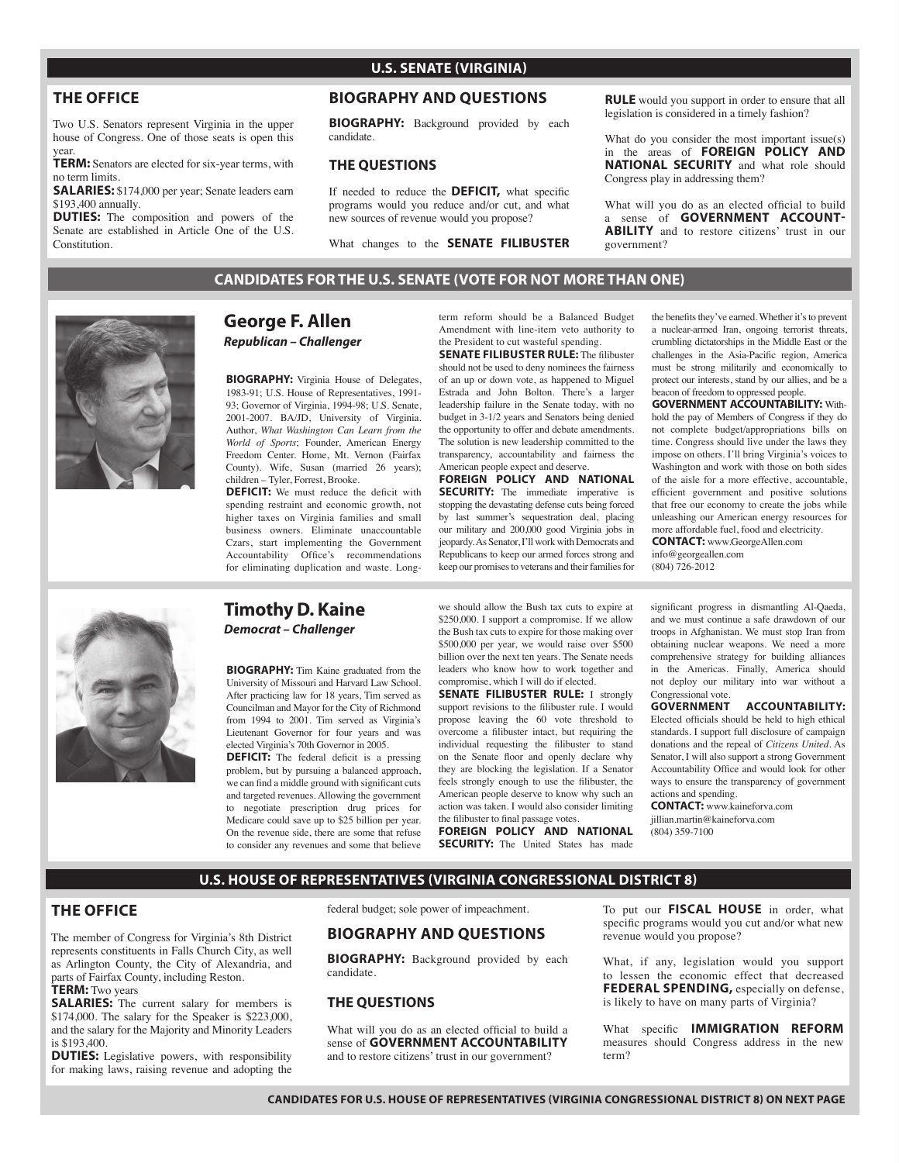## **THE OFFICE**

Two U.S. Senators represent Virginia in the upper house of Congress. One of those seats is open this year.

**TERM:** Senators are elected for six-year terms, with no term limits.

**SALARIES:** \$174,000 per year; Senate leaders earn \$193,400 annually.

**DUTIES:** The composition and powers of the Senate are established in Article One of the U.S. Constitution.

## **U.S. SENATE (VIRGINIA)**

## **Biography and QUESTIONS**

**BIOGRAPHY:** Background provided by each candidate.

#### **THE QUESTIONS**

If needed to reduce the **DEFICIT,** what specific programs would you reduce and/or cut, and what new sources of revenue would you propose?

What changes to the **SENATE FILIBUSTER**

**RULE** would you support in order to ensure that all legislation is considered in a timely fashion?

What do you consider the most important issue(s) in the areas of **FOREIGN POLICY AND NATIONAL SECURITY** and what role should Congress play in addressing them?

What will you do as an elected official to build a sense of **GOVERNMENT ACCOUNT-ABILITY** and to restore citizens' trust in our government?

**CANDIDATES FOR THE U.S. SENATE (VOTE FOR NOT MORE THAN ONE)**



## **George F. Allen** *Republican – Challenger*

**BIOGRAPHY:** Virginia House of Delegates, 1983-91; U.S. House of Representatives, 1991- 93; Governor of Virginia, 1994-98; U.S. Senate, 2001-2007. BA/JD, University of Virginia. Author, *What Washington Can Learn from the World of Sports*; Founder, American Energy Freedom Center. Home, Mt. Vernon (Fairfax County). Wife, Susan (married 26 years); children – Tyler, Forrest, Brooke.

**DEFICIT:** We must reduce the deficit with spending restraint and economic growth, not higher taxes on Virginia families and small business owners. Eliminate unaccountable Czars, start implementing the Government Accountability Office's recommendations for eliminating duplication and waste. Longterm reform should be a Balanced Budget Amendment with line-item veto authority to the President to cut wasteful spending. **SENATE FILIBUSTER RULE:** The filibuster

should not be used to deny nominees the fairness of an up or down vote, as happened to Miguel Estrada and John Bolton. There's a larger leadership failure in the Senate today, with no budget in 3-1/2 years and Senators being denied the opportunity to offer and debate amendments. The solution is new leadership committed to the transparency, accountability and fairness the American people expect and deserve.

**FOREIGN POLICY and NATIONAL SECURITY:** The immediate imperative is stopping the devastating defense cuts being forced by last summer's sequestration deal, placing our military and 200,000 good Virginia jobs in jeopardy. As Senator, I'll work with Democrats and Republicans to keep our armed forces strong and keep our promises to veterans and their families for

the benefits they've earned. Whether it's to prevent a nuclear-armed Iran, ongoing terrorist threats, crumbling dictatorships in the Middle East or the challenges in the Asia-Pacific region, America must be strong militarily and economically to protect our interests, stand by our allies, and be a beacon of freedom to oppressed people.

**GOVERNMENT ACCOUNTABILITY:** Withhold the pay of Members of Congress if they do not complete budget/appropriations bills on time. Congress should live under the laws they impose on others. I'll bring Virginia's voices to Washington and work with those on both sides of the aisle for a more effective, accountable, efficient government and positive solutions that free our economy to create the jobs while unleashing our American energy resources for more affordable fuel, food and electricity.

**CONTACT:** www.GeorgeAllen.com info@georgeallen.com (804) 726-2012



## **Timothy D. Kaine** *Democrat – Challenger*

**BIOGRAPHY:** Tim Kaine graduated from the University of Missouri and Harvard Law School. After practicing law for 18 years, Tim served as Councilman and Mayor for the City of Richmond from 1994 to 2001. Tim served as Virginia's Lieutenant Governor for four years and was elected Virginia's 70th Governor in 2005.

**DEFICIT:** The federal deficit is a pressing problem, but by pursuing a balanced approach, we can find a middle ground with significant cuts and targeted revenues. Allowing the government to negotiate prescription drug prices for Medicare could save up to \$25 billion per year. On the revenue side, there are some that refuse to consider any revenues and some that believe

we should allow the Bush tax cuts to expire at \$250,000. I support a compromise. If we allow the Bush tax cuts to expire for those making over \$500,000 per year, we would raise over \$500 billion over the next ten years. The Senate needs leaders who know how to work together and compromise, which I will do if elected.

**SENATE FILIBUSTER RULE:** I strongly support revisions to the filibuster rule. I would propose leaving the 60 vote threshold to overcome a filibuster intact, but requiring the individual requesting the filibuster to stand on the Senate floor and openly declare why they are blocking the legislation. If a Senator feels strongly enough to use the filibuster, the American people deserve to know why such an action was taken. I would also consider limiting the filibuster to final passage votes.

**FOREIGN POLICY AND NATIONAL SECURITY:** The United States has made

significant progress in dismantling Al-Qaeda, and we must continue a safe drawdown of our troops in Afghanistan. We must stop Iran from obtaining nuclear weapons. We need a more comprehensive strategy for building alliances in the Americas. Finally, America should not deploy our military into war without a

Congressional vote.<br>**GOVERNMENT GOVERNMENT ACCOUNTABILITY:** Elected officials should be held to high ethical standards. I support full disclosure of campaign donations and the repeal of *Citizens United.* As Senator, I will also support a strong Government Accountability Office and would look for other ways to ensure the transparency of government actions and spending.

**CONTACT:** www.kaineforva.com jillian.martin@kaineforva.com (804) 359-7100

### **u.s. house of representatives (virginia congressional district 8)**

#### **THE OFFICE**

The member of Congress for Virginia's 8th District represents constituents in Falls Church City, as well as Arlington County, the City of Alexandria, and parts of Fairfax County, including Reston.

**TERM:** Two years

**SALARIES:** The current salary for members is \$174,000. The salary for the Speaker is \$223,000, and the salary for the Majority and Minority Leaders is \$193,400.

**DUTIES:** Legislative powers, with responsibility for making laws, raising revenue and adopting the

federal budget; sole power of impeachment.

### **Biography and QUESTIONS**

**BIOGRAPHY:** Background provided by each candidate.

#### **THE QUESTIONS**

What will you do as an elected official to build a sense of **GOVERNMENT ACCOUNTABILITY**  and to restore citizens' trust in our government?

To put our **FISCAL HOUSE** in order, what specific programs would you cut and/or what new revenue would you propose?

What, if any, legislation would you support to lessen the economic effect that decreased **FEDERAL SPENDING,** especially on defense, is likely to have on many parts of Virginia?

What specific **IMMIGRATION REFORM** measures should Congress address in the new term?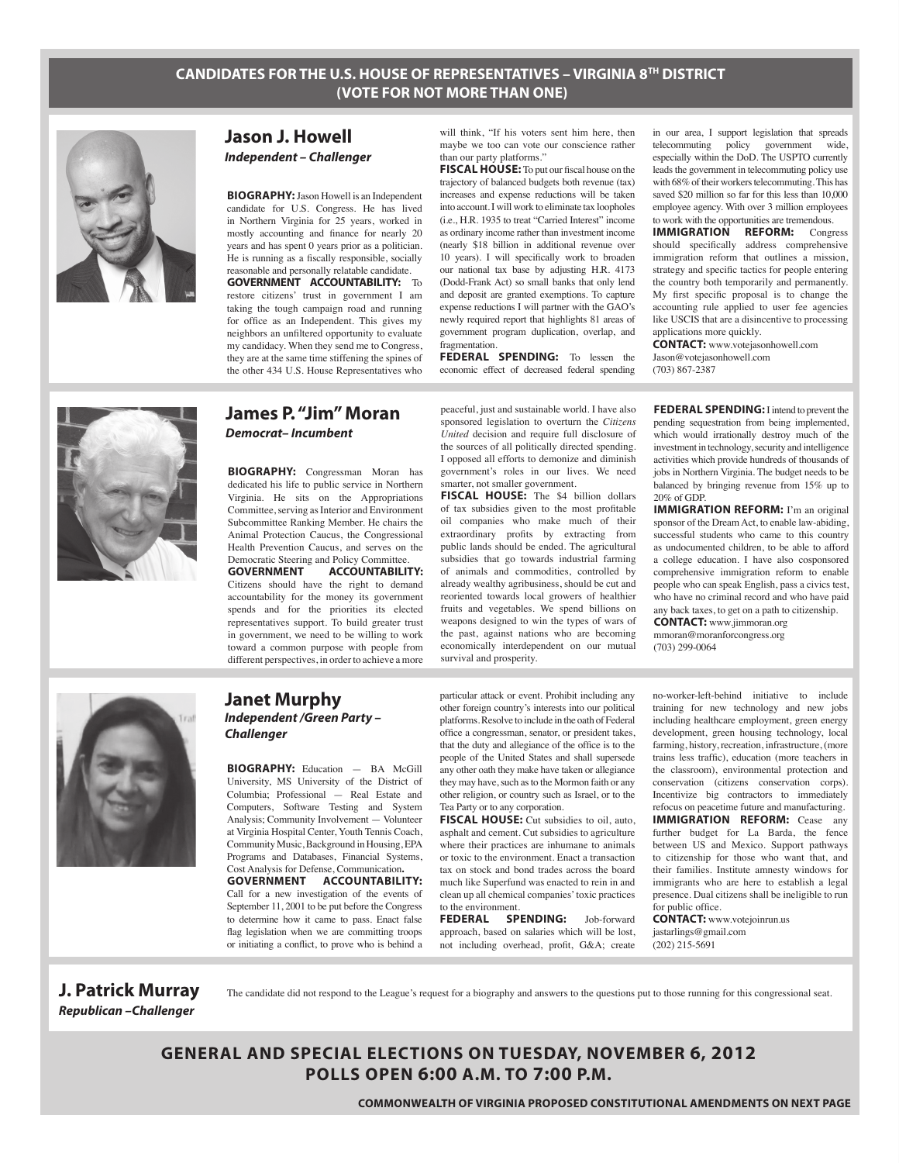## **CANDIDATES FOR THE U.S. HOUSE OF REPRESENTATIVES – VIRGINIA 8TH DISTRICT (VOTE FOR NOT MORE THAN ONE)**



## **Jason J. Howell** *Independent – Challenger*

**BIOGRAPHY:**Jason Howell is an Independent candidate for U.S. Congress. He has lived in Northern Virginia for 25 years, worked in mostly accounting and finance for nearly 20 years and has spent 0 years prior as a politician. He is running as a fiscally responsible, socially reasonable and personally relatable candidate. **GOVERNMENT ACCOUNTABILITY:** To restore citizens' trust in government I am

taking the tough campaign road and running for office as an Independent. This gives my neighbors an unfiltered opportunity to evaluate my candidacy. When they send me to Congress, they are at the same time stiffening the spines of the other 434 U.S. House Representatives who

will think, "If his voters sent him here, then maybe we too can vote our conscience rather than our party platforms."

**FISCAL HOUSE:** To put our fiscal house on the trajectory of balanced budgets both revenue (tax) increases and expense reductions will be taken into account. I will work to eliminate tax loopholes (i.e., H.R. 1935 to treat "Carried Interest" income as ordinary income rather than investment income (nearly \$18 billion in additional revenue over 10 years). I will specifically work to broaden our national tax base by adjusting H.R. 4173 (Dodd-Frank Act) so small banks that only lend and deposit are granted exemptions. To capture expense reductions I will partner with the GAO's newly required report that highlights 81 areas of government program duplication, overlap, and fragmentation.

**FEDERAL SPENDING:** To lessen the economic effect of decreased federal spending

in our area, I support legislation that spreads telecommuting policy government wide, especially within the DoD. The USPTO currently leads the government in telecommuting policy use with 68% of their workers telecommuting. This has saved \$20 million so far for this less than 10,000 employee agency. With over 3 million employees to work with the opportunities are tremendous.

**IMMIGRATION REFORM:** Congress should specifically address comprehensive immigration reform that outlines a mission, strategy and specific tactics for people entering the country both temporarily and permanently. My first specific proposal is to change the accounting rule applied to user fee agencies like USCIS that are a disincentive to processing applications more quickly.

**CONTACT:** www.votejasonhowell.com Jason@votejasonhowell.com (703) 867-2387



## **James P. "Jim" Moran**

*Democrat– Incumbent*

**BIOGRAPHY:** Congressman Moran has dedicated his life to public service in Northern Virginia. He sits on the Appropriations Committee, serving as Interior and Environment Subcommittee Ranking Member. He chairs the Animal Protection Caucus, the Congressional Health Prevention Caucus, and serves on the Democratic Steering and Policy Committee.

**GOVERNMENT ACCOUNTABILITY:** Citizens should have the right to demand accountability for the money its government spends and for the priorities its elected representatives support. To build greater trust in government, we need to be willing to work toward a common purpose with people from different perspectives, in order to achieve a more

peaceful, just and sustainable world. I have also sponsored legislation to overturn the *Citizens United* decision and require full disclosure of the sources of all politically directed spending. I opposed all efforts to demonize and diminish government's roles in our lives. We need smarter, not smaller government.

**FISCAL HOUSE:** The \$4 billion dollars of tax subsidies given to the most profitable oil companies who make much of their extraordinary profits by extracting from public lands should be ended. The agricultural subsidies that go towards industrial farming of animals and commodities, controlled by already wealthy agribusiness, should be cut and reoriented towards local growers of healthier fruits and vegetables. We spend billions on weapons designed to win the types of wars of the past, against nations who are becoming economically interdependent on our mutual survival and prosperity.

**FEDERAL SPENDING:** I intend to prevent the pending sequestration from being implemented, which would irrationally destroy much of the investment in technology, security and intelligence activities which provide hundreds of thousands of jobs in Northern Virginia. The budget needs to be balanced by bringing revenue from 15% up to 20% of GDP.

**IMMIGRATION REFORM:** I'm an original sponsor of the Dream Act, to enable law-abiding, successful students who came to this country as undocumented children, to be able to afford a college education. I have also cosponsored comprehensive immigration reform to enable people who can speak English, pass a civics test, who have no criminal record and who have paid any back taxes, to get on a path to citizenship. **CONTACT:** www.jimmoran.org

mmoran@moranforcongress.org (703) 299-0064



#### **Janet Murphy** *Independent /Green Party – Challenger*

**BIOGRAPHY:** Education — BA McGill University, MS University of the District of Columbia; Professional — Real Estate and Computers, Software Testing and System Analysis; Community Involvement — Volunteer at Virginia Hospital Center, Youth Tennis Coach, Community Music, Background in Housing, EPA Programs and Databases, Financial Systems, Cost Analysis for Defense, Communication**.**

**GOVERNMENT ACCOUNTABILITY:** Call for a new investigation of the events of September 11, 2001 to be put before the Congress to determine how it came to pass. Enact false flag legislation when we are committing troops or initiating a conflict, to prove who is behind a

particular attack or event. Prohibit including any other foreign country's interests into our political platforms. Resolve to include in the oath of Federal office a congressman, senator, or president takes, that the duty and allegiance of the office is to the people of the United States and shall supersede any other oath they make have taken or allegiance they may have, such as to the Mormon faith or any other religion, or country such as Israel, or to the Tea Party or to any corporation.

**FISCAL HOUSE:** Cut subsidies to oil, auto, asphalt and cement. Cut subsidies to agriculture where their practices are inhumane to animals or toxic to the environment. Enact a transaction tax on stock and bond trades across the board much like Superfund was enacted to rein in and clean up all chemical companies' toxic practices to the environment.

**FEDERAL SPENDING:** Job-forward approach, based on salaries which will be lost, not including overhead, profit, G&A; create

no-worker-left-behind initiative to include training for new technology and new jobs including healthcare employment, green energy development, green housing technology, local farming, history, recreation, infrastructure, (more trains less traffic), education (more teachers in the classroom), environmental protection and conservation (citizens conservation corps). Incentivize big contractors to immediately refocus on peacetime future and manufacturing. **IMMIGRATION REFORM:** Cease any further budget for La Barda, the fence between US and Mexico. Support pathways to citizenship for those who want that, and their families. Institute amnesty windows for immigrants who are here to establish a legal presence. Dual citizens shall be ineligible to run for public office.

**CONTACT:** www.votejoinrun.us jastarlings@gmail.com (202) 215-5691

# *Republican –Challenger*

**J. Patrick Murray** The candidate did not respond to the League's request for a biography and answers to the questions put to those running for this congressional seat.

**general and special elections on Tuesday, NOVEMBER 6, 2012 polls open 6:00 a.m. to 7:00 p.m.**

**commonwealth of virginia proposed constitutional amendments on next page**